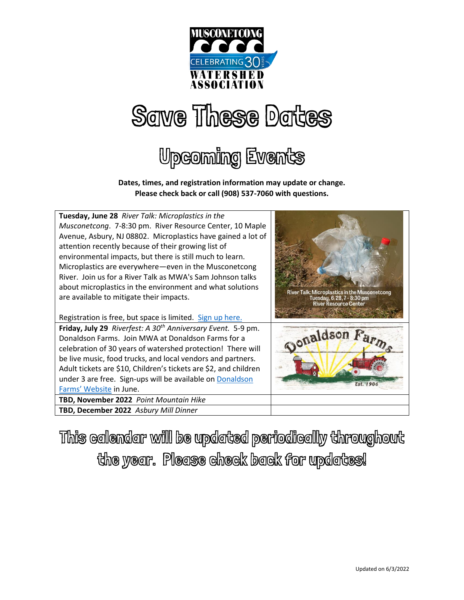

## Save These Dates

### Upcoming Events

**Dates, times, and registration information may update or change. Please check back or call (908) 537-7060 with questions.**



This calendar will be updated periodically throughout the year. Please check back for updates!